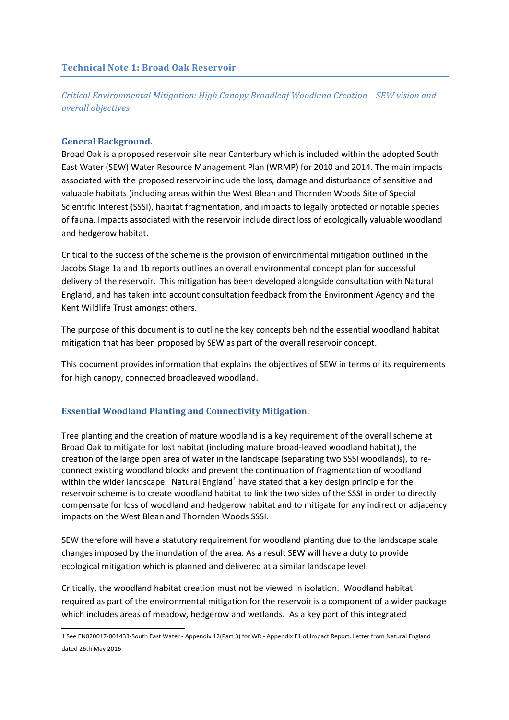*Critical Environmental Mitigation: High Canopy Broadleaf Woodland Creation – SEW vision and overall objectives.*

### **General Background.**

Broad Oak is a proposed reservoir site near Canterbury which is included within the adopted South East Water (SEW) Water Resource Management Plan (WRMP) for 2010 and 2014. The main impacts associated with the proposed reservoir include the loss, damage and disturbance of sensitive and valuable habitats (including areas within the West Blean and Thornden Woods Site of Special Scientific Interest (SSSI), habitat fragmentation, and impacts to legally protected or notable species of fauna. Impacts associated with the reservoir include direct loss of ecologically valuable woodland and hedgerow habitat.

Critical to the success of the scheme is the provision of environmental mitigation outlined in the Jacobs Stage 1a and 1b reports outlines an overall environmental concept plan for successful delivery of the reservoir. This mitigation has been developed alongside consultation with Natural England, and has taken into account consultation feedback from the Environment Agency and the Kent Wildlife Trust amongst others.

The purpose of this document is to outline the key concepts behind the essential woodland habitat mitigation that has been proposed by SEW as part of the overall reservoir concept.

This document provides information that explains the objectives of SEW in terms of its requirements for high canopy, connected broadleaved woodland.

## **Essential Woodland Planting and Connectivity Mitigation.**

Tree planting and the creation of mature woodland is a key requirement of the overall scheme at Broad Oak to mitigate for lost habitat (including mature broad-leaved woodland habitat), the creation of the large open area of water in the landscape (separating two SSSI woodlands), to reconnect existing woodland blocks and prevent the continuation of fragmentation of woodland within the wider landscape. Natural England<sup>[1](#page-0-0)</sup> have stated that a key design principle for the reservoir scheme is to create woodland habitat to link the two sides of the SSSI in order to directly compensate for loss of woodland and hedgerow habitat and to mitigate for any indirect or adjacency impacts on the West Blean and Thornden Woods SSSI.

SEW therefore will have a statutory requirement for woodland planting due to the landscape scale changes imposed by the inundation of the area. As a result SEW will have a duty to provide ecological mitigation which is planned and delivered at a similar landscape level.

Critically, the woodland habitat creation must not be viewed in isolation. Woodland habitat required as part of the environmental mitigation for the reservoir is a component of a wider package which includes areas of meadow, hedgerow and wetlands. As a key part of this integrated

<span id="page-0-0"></span><sup>1</sup> See EN020017-001433-South East Water - Appendix 12(Part 3) for WR - Appendix F1 of Impact Report. Letter from Natural England dated 26th May 2016 **.**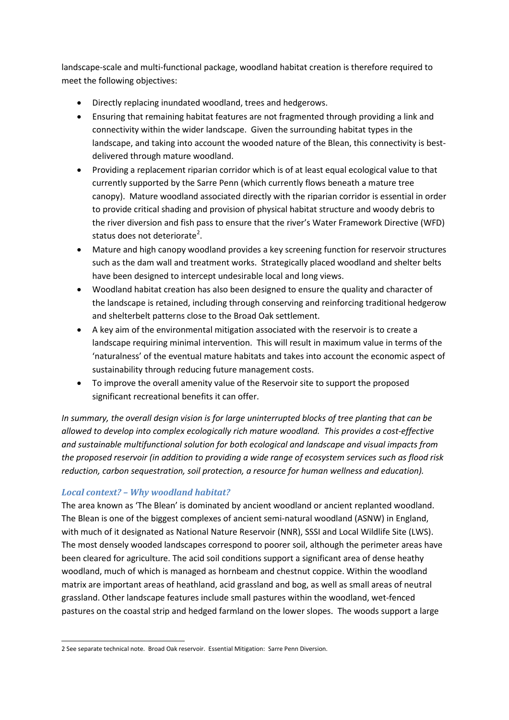landscape-scale and multi-functional package, woodland habitat creation is therefore required to meet the following objectives:

- Directly replacing inundated woodland, trees and hedgerows.
- Ensuring that remaining habitat features are not fragmented through providing a link and connectivity within the wider landscape. Given the surrounding habitat types in the landscape, and taking into account the wooded nature of the Blean, this connectivity is bestdelivered through mature woodland.
- Providing a replacement riparian corridor which is of at least equal ecological value to that currently supported by the Sarre Penn (which currently flows beneath a mature tree canopy). Mature woodland associated directly with the riparian corridor is essential in order to provide critical shading and provision of physical habitat structure and woody debris to the river diversion and fish pass to ensure that the river's Water Framework Directive (WFD) status does not deteriorate<sup>[2](#page-1-0)</sup>.
- Mature and high canopy woodland provides a key screening function for reservoir structures such as the dam wall and treatment works. Strategically placed woodland and shelter belts have been designed to intercept undesirable local and long views.
- Woodland habitat creation has also been designed to ensure the quality and character of the landscape is retained, including through conserving and reinforcing traditional hedgerow and shelterbelt patterns close to the Broad Oak settlement.
- A key aim of the environmental mitigation associated with the reservoir is to create a landscape requiring minimal intervention. This will result in maximum value in terms of the 'naturalness' of the eventual mature habitats and takes into account the economic aspect of sustainability through reducing future management costs.
- To improve the overall amenity value of the Reservoir site to support the proposed significant recreational benefits it can offer.

*In summary, the overall design vision is for large uninterrupted blocks of tree planting that can be allowed to develop into complex ecologically rich mature woodland. This provides a cost-effective and sustainable multifunctional solution for both ecological and landscape and visual impacts from the proposed reservoir (in addition to providing a wide range of ecosystem services such as flood risk reduction, carbon sequestration, soil protection, a resource for human wellness and education).*

## *Local context? – Why woodland habitat?*

The area known as 'The Blean' is dominated by ancient woodland or ancient replanted woodland. The Blean is one of the biggest complexes of ancient semi-natural woodland (ASNW) in England, with much of it designated as National Nature Reservoir (NNR), SSSI and Local Wildlife Site (LWS). The most densely wooded landscapes correspond to poorer soil, although the perimeter areas have been cleared for agriculture. The acid soil conditions support a significant area of dense heathy woodland, much of which is managed as hornbeam and chestnut coppice. Within the woodland matrix are important areas of heathland, acid grassland and bog, as well as small areas of neutral grassland. Other landscape features include small pastures within the woodland, wet-fenced pastures on the coastal strip and hedged farmland on the lower slopes. The woods support a large

<span id="page-1-0"></span><sup>2</sup> See separate technical note. Broad Oak reservoir. Essential Mitigation: Sarre Penn Diversion. **.**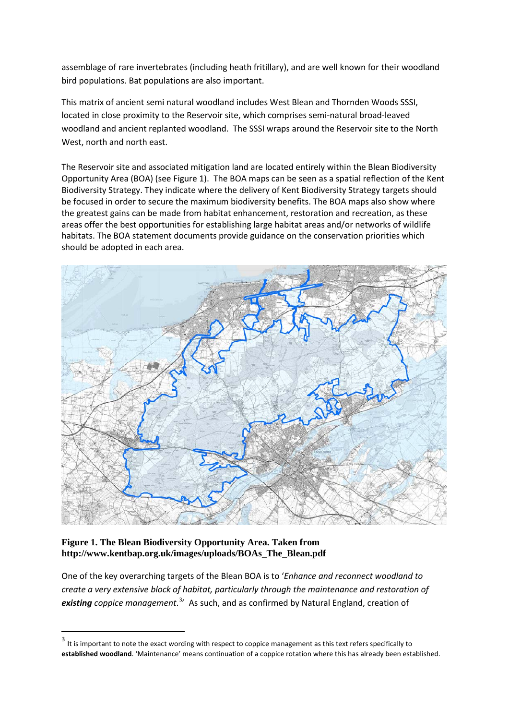assemblage of rare invertebrates (including heath fritillary), and are well known for their woodland bird populations. Bat populations are also important.

This matrix of ancient semi natural woodland includes West Blean and Thornden Woods SSSI, located in close proximity to the Reservoir site, which comprises semi-natural broad-leaved woodland and ancient replanted woodland. The SSSI wraps around the Reservoir site to the North West, north and north east.

The Reservoir site and associated mitigation land are located entirely within the Blean Biodiversity Opportunity Area (BOA) (see Figure 1). The BOA maps can be seen as a spatial reflection of the Kent Biodiversity Strategy. They indicate where the delivery of Kent Biodiversity Strategy targets should be focused in order to secure the maximum biodiversity benefits. The BOA maps also show where the greatest gains can be made from habitat enhancement, restoration and recreation, as these areas offer the best opportunities for establishing large habitat areas and/or networks of wildlife habitats. The BOA statement documents provide guidance on the conservation priorities which should be adopted in each area.



## **Figure 1. The Blean Biodiversity Opportunity Area. Taken from http://www.kentbap.org.uk/images/uploads/BOAs\_The\_Blean.pdf**

 $\overline{a}$ 

One of the key overarching targets of the Blean BOA is to '*Enhance and reconnect woodland to create a very extensive block of habitat, particularly through the maintenance and restoration of existing coppice management*. [3](#page-2-0) ' As such, and as confirmed by Natural England, creation of

<span id="page-2-0"></span><sup>&</sup>lt;sup>3</sup> It is important to note the exact wording with respect to coppice management as this text refers specifically to **established woodland**. 'Maintenance' means continuation of a coppice rotation where this has already been established.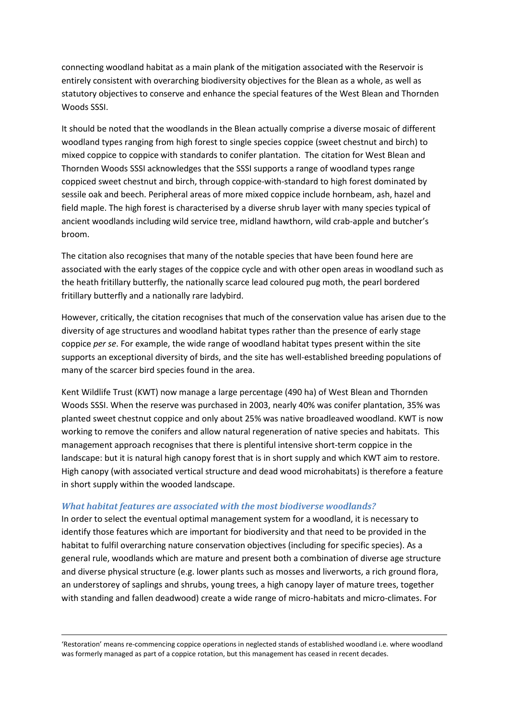connecting woodland habitat as a main plank of the mitigation associated with the Reservoir is entirely consistent with overarching biodiversity objectives for the Blean as a whole, as well as statutory objectives to conserve and enhance the special features of the West Blean and Thornden Woods SSSI.

It should be noted that the woodlands in the Blean actually comprise a diverse mosaic of different woodland types ranging from high forest to single species coppice (sweet chestnut and birch) to mixed coppice to coppice with standards to conifer plantation. The citation for West Blean and Thornden Woods SSSI acknowledges that the SSSI supports a range of woodland types range coppiced sweet chestnut and birch, through coppice-with-standard to high forest dominated by sessile oak and beech. Peripheral areas of more mixed coppice include hornbeam, ash, hazel and field maple. The high forest is characterised by a diverse shrub layer with many species typical of ancient woodlands including wild service tree, midland hawthorn, wild crab-apple and butcher's broom.

The citation also recognises that many of the notable species that have been found here are associated with the early stages of the coppice cycle and with other open areas in woodland such as the heath fritillary butterfly, the nationally scarce lead coloured pug moth, the pearl bordered fritillary butterfly and a nationally rare ladybird.

However, critically, the citation recognises that much of the conservation value has arisen due to the diversity of age structures and woodland habitat types rather than the presence of early stage coppice *per se*. For example, the wide range of woodland habitat types present within the site supports an exceptional diversity of birds, and the site has well-established breeding populations of many of the scarcer bird species found in the area.

Kent Wildlife Trust (KWT) now manage a large percentage (490 ha) of West Blean and Thornden Woods SSSI. When the reserve was purchased in 2003, nearly 40% was conifer plantation, 35% was planted sweet chestnut coppice and only about 25% was native broadleaved woodland. KWT is now working to remove the conifers and allow natural regeneration of native species and habitats. This management approach recognises that there is plentiful intensive short-term coppice in the landscape: but it is natural high canopy forest that is in short supply and which KWT aim to restore. High canopy (with associated vertical structure and dead wood microhabitats) is therefore a feature in short supply within the wooded landscape.

## *What habitat features are associated with the most biodiverse woodlands?*

 $\overline{a}$ 

In order to select the eventual optimal management system for a woodland, it is necessary to identify those features which are important for biodiversity and that need to be provided in the habitat to fulfil overarching nature conservation objectives (including for specific species). As a general rule, woodlands which are mature and present both a combination of diverse age structure and diverse physical structure (e.g. lower plants such as mosses and liverworts, a rich ground flora, an understorey of saplings and shrubs, young trees, a high canopy layer of mature trees, together with standing and fallen deadwood) create a wide range of micro-habitats and micro-climates. For

'Restoration' means re-commencing coppice operations in neglected stands of established woodland i.e. where woodland was formerly managed as part of a coppice rotation, but this management has ceased in recent decades.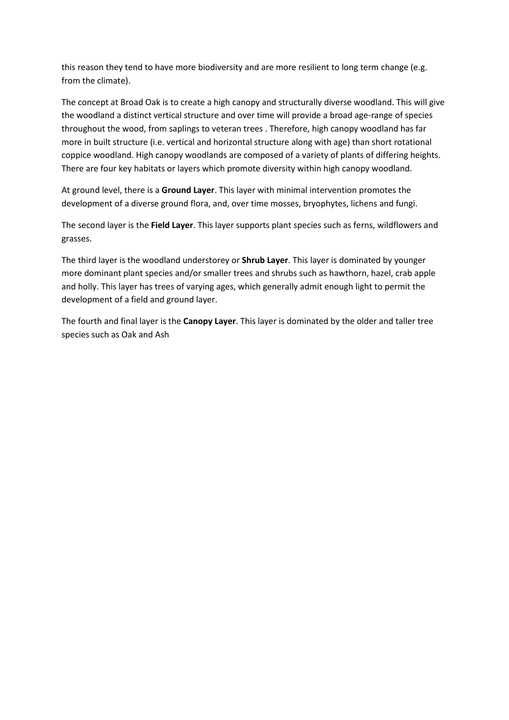this reason they tend to have more biodiversity and are more resilient to long term change (e.g. from the climate).

The concept at Broad Oak is to create a high canopy and structurally diverse woodland. This will give the woodland a distinct vertical structure and over time will provide a broad age-range of species throughout the wood, from saplings to veteran trees . Therefore, high canopy woodland has far more in built structure (i.e. vertical and horizontal structure along with age) than short rotational coppice woodland. High canopy woodlands are composed of a variety of plants of differing heights. There are four key habitats or layers which promote diversity within high canopy woodland.

At ground level, there is a **Ground Layer**. This layer with minimal intervention promotes the development of a diverse ground flora, and, over time mosses, bryophytes, lichens and fungi.

The second layer is the **Field Layer**. This layer supports plant species such as ferns, wildflowers and grasses.

The third layer is the woodland understorey or **Shrub Layer**. This layer is dominated by younger more dominant plant species and/or smaller trees and shrubs such as hawthorn, hazel, crab apple and holly. This layer has trees of varying ages, which generally admit enough light to permit the development of a field and ground layer.

The fourth and final layer is the **Canopy Layer**. This layer is dominated by the older and taller tree species such as Oak and Ash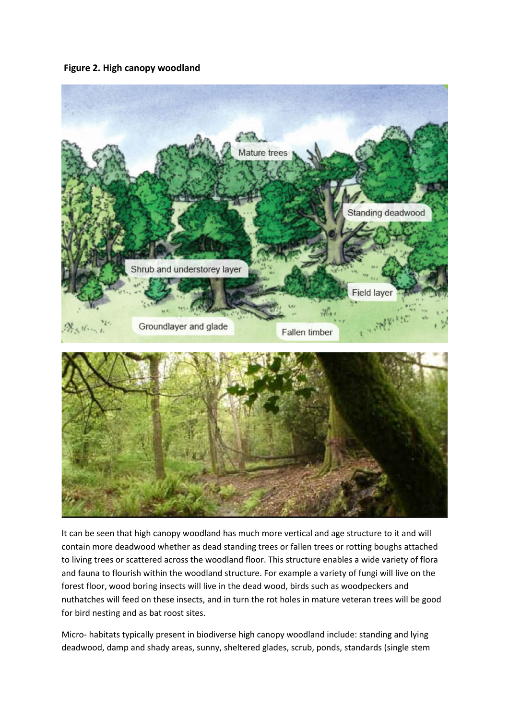## **Figure 2. High canopy woodland**



It can be seen that high canopy woodland has much more vertical and age structure to it and will contain more deadwood whether as dead standing trees or fallen trees or rotting boughs attached to living trees or scattered across the woodland floor. This structure enables a wide variety of flora and fauna to flourish within the woodland structure. For example a variety of fungi will live on the forest floor, wood boring insects will live in the dead wood, birds such as woodpeckers and nuthatches will feed on these insects, and in turn the rot holes in mature veteran trees will be good for bird nesting and as bat roost sites.

Micro- habitats typically present in biodiverse high canopy woodland include: standing and lying deadwood, damp and shady areas, sunny, sheltered glades, scrub, ponds, standards (single stem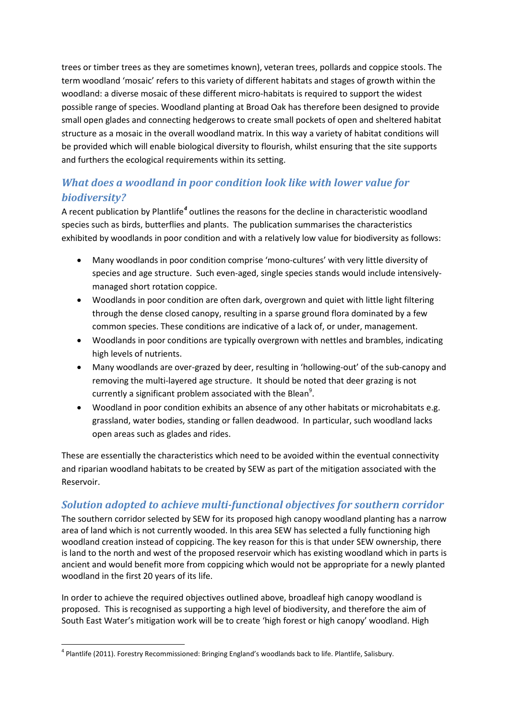trees or timber trees as they are sometimes known), veteran trees, pollards and coppice stools. The term woodland 'mosaic' refers to this variety of different habitats and stages of growth within the woodland: a diverse mosaic of these different micro-habitats is required to support the widest possible range of species. Woodland planting at Broad Oak has therefore been designed to provide small open glades and connecting hedgerows to create small pockets of open and sheltered habitat structure as a mosaic in the overall woodland matrix. In this way a variety of habitat conditions will be provided which will enable biological diversity to flourish, whilst ensuring that the site supports and furthers the ecological requirements within its setting.

# *What does a woodland in poor condition look like with lower value for biodiversity?*

A recent publication by Plantlife*[4](#page-6-0)* outlines the reasons for the decline in characteristic woodland species such as birds, butterflies and plants. The publication summarises the characteristics exhibited by woodlands in poor condition and with a relatively low value for biodiversity as follows:

- Many woodlands in poor condition comprise 'mono-cultures' with very little diversity of species and age structure. Such even-aged, single species stands would include intensivelymanaged short rotation coppice.
- Woodlands in poor condition are often dark, overgrown and quiet with little light filtering through the dense closed canopy, resulting in a sparse ground flora dominated by a few common species. These conditions are indicative of a lack of, or under, management.
- Woodlands in poor conditions are typically overgrown with nettles and brambles, indicating high levels of nutrients.
- Many woodlands are over-grazed by deer, resulting in 'hollowing-out' of the sub-canopy and removing the multi-layered age structure. It should be noted that deer grazing is not currently a significant problem associated with the Blean $^9$ .
- Woodland in poor condition exhibits an absence of any other habitats or microhabitats e.g. grassland, water bodies, standing or fallen deadwood. In particular, such woodland lacks open areas such as glades and rides.

These are essentially the characteristics which need to be avoided within the eventual connectivity and riparian woodland habitats to be created by SEW as part of the mitigation associated with the Reservoir.

## *Solution adopted to achieve multi-functional objectives for southern corridor*

The southern corridor selected by SEW for its proposed high canopy woodland planting has a narrow area of land which is not currently wooded. In this area SEW has selected a fully functioning high woodland creation instead of coppicing. The key reason for this is that under SEW ownership, there is land to the north and west of the proposed reservoir which has existing woodland which in parts is ancient and would benefit more from coppicing which would not be appropriate for a newly planted woodland in the first 20 years of its life.

In order to achieve the required objectives outlined above, broadleaf high canopy woodland is proposed. This is recognised as supporting a high level of biodiversity, and therefore the aim of South East Water's mitigation work will be to create 'high forest or high canopy' woodland. High

 $\overline{a}$ 

<span id="page-6-0"></span><sup>4</sup> Plantlife (2011). Forestry Recommissioned: Bringing England's woodlands back to life. Plantlife, Salisbury.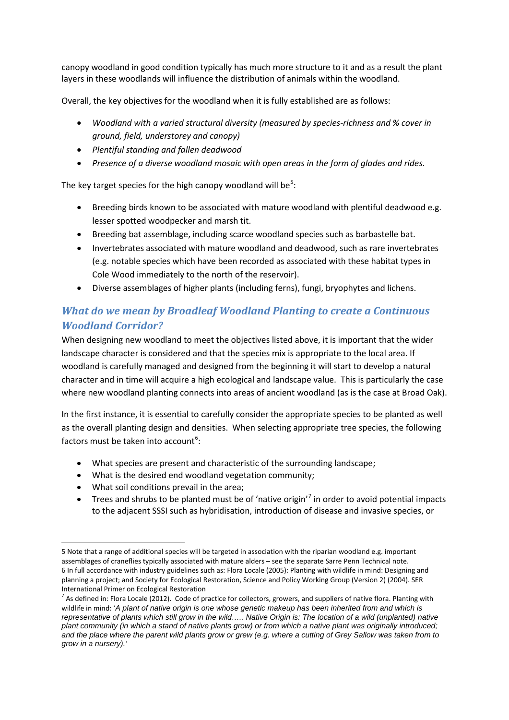canopy woodland in good condition typically has much more structure to it and as a result the plant layers in these woodlands will influence the distribution of animals within the woodland.

Overall, the key objectives for the woodland when it is fully established are as follows:

- *Woodland with a varied structural diversity (measured by species-richness and % cover in ground, field, understorey and canopy)*
- *Plentiful standing and fallen deadwood*
- *Presence of a diverse woodland mosaic with open areas in the form of glades and rides.*

The key target species for the high canopy woodland will be<sup>[5](#page-7-0)</sup>:

- Breeding birds known to be associated with mature woodland with plentiful deadwood e.g. lesser spotted woodpecker and marsh tit.
- Breeding bat assemblage, including scarce woodland species such as barbastelle bat.
- Invertebrates associated with mature woodland and deadwood, such as rare invertebrates (e.g. notable species which have been recorded as associated with these habitat types in Cole Wood immediately to the north of the reservoir).
- Diverse assemblages of higher plants (including ferns), fungi, bryophytes and lichens.

# *What do we mean by Broadleaf Woodland Planting to create a Continuous Woodland Corridor?*

When designing new woodland to meet the objectives listed above, it is important that the wider landscape character is considered and that the species mix is appropriate to the local area. If woodland is carefully managed and designed from the beginning it will start to develop a natural character and in time will acquire a high ecological and landscape value. This is particularly the case where new woodland planting connects into areas of ancient woodland (as is the case at Broad Oak).

In the first instance, it is essential to carefully consider the appropriate species to be planted as well as the overall planting design and densities. When selecting appropriate tree species, the following factors must be taken into account<sup>[6](#page-7-1)</sup>:

- What species are present and characteristic of the surrounding landscape;
- What is the desired end woodland vegetation community;
- What soil conditions prevail in the area;
- Trees and shrubs to be planted must be of 'native origin'<sup>[7](#page-7-2)</sup> in order to avoid potential impacts to the adjacent SSSI such as hybridisation, introduction of disease and invasive species, or

<span id="page-7-0"></span><sup>5</sup> Note that a range of additional species will be targeted in association with the riparian woodland e.g. important assemblages of craneflies typically associated with mature alders – see the separate Sarre Penn Technical note. 6 In full accordance with industry guidelines such as: Flora Locale (2005): Planting with wildlife in mind: Designing and planning a project; and Society for Ecological Restoration, Science and Policy Working Group (Version 2) (2004). SER International Primer on Ecological Restoration<br><sup>7</sup> As defined in: Flora Locale (2012). Code of practice for collectors, growers, and suppliers of native flora. Planting with  $\overline{a}$ 

<span id="page-7-2"></span><span id="page-7-1"></span>wildlife in mind: '*A plant of native origin is one whose genetic makeup has been inherited from and which is representative of plants which still grow in the wild….. Native Origin is: The location of a wild (unplanted) native plant community (in which a stand of native plants grow) or from which a native plant was originally introduced; and the place where the parent wild plants grow or grew (e.g. where a cutting of Grey Sallow was taken from to grow in a nursery).'*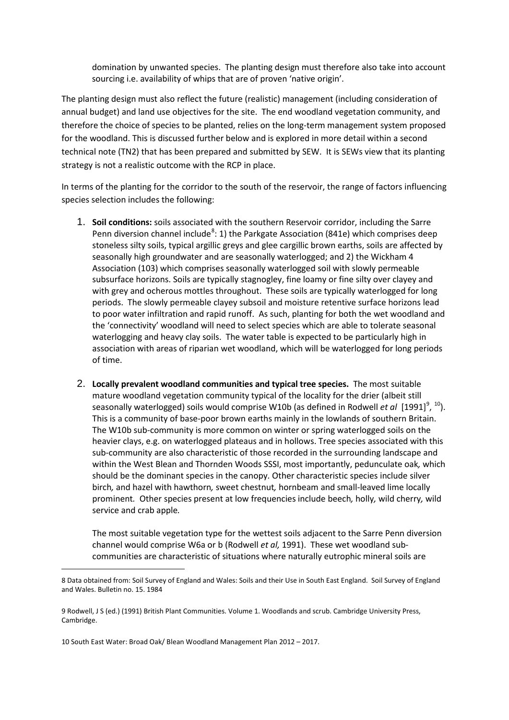domination by unwanted species. The planting design must therefore also take into account sourcing i.e. availability of whips that are of proven 'native origin'.

The planting design must also reflect the future (realistic) management (including consideration of annual budget) and land use objectives for the site. The end woodland vegetation community, and therefore the choice of species to be planted, relies on the long-term management system proposed for the woodland. This is discussed further below and is explored in more detail within a second technical note (TN2) that has been prepared and submitted by SEW. It is SEWs view that its planting strategy is not a realistic outcome with the RCP in place.

In terms of the planting for the corridor to the south of the reservoir, the range of factors influencing species selection includes the following:

- 1. **Soil conditions:** soils associated with the southern Reservoir corridor, including the Sarre Penn diversion channel include<sup>[8](#page-8-0)</sup>: 1) the Parkgate Association (841e) which comprises deep stoneless silty soils, typical argillic greys and glee cargillic brown earths, soils are affected by seasonally high groundwater and are seasonally waterlogged; and 2) the Wickham 4 Association (103) which comprises seasonally waterlogged soil with slowly permeable subsurface horizons. Soils are typically stagnogley, fine loamy or fine silty over clayey and with grey and ocherous mottles throughout. These soils are typically waterlogged for long periods. The slowly permeable clayey subsoil and moisture retentive surface horizons lead to poor water infiltration and rapid runoff. As such, planting for both the wet woodland and the 'connectivity' woodland will need to select species which are able to tolerate seasonal waterlogging and heavy clay soils. The water table is expected to be particularly high in association with areas of riparian wet woodland, which will be waterlogged for long periods of time.
- 2. **Locally prevalent woodland communities and typical tree species.** The most suitable mature woodland vegetation community typical of the locality for the drier (albeit still seasonally waterlogged) soils would comprise W[10](#page-8-2)b (as defined in Rodwell *et al* [1[9](#page-8-1)91]<sup>9</sup>, <sup>10</sup>). This is a community of base-poor brown earths mainly in the lowlands of southern Britain. The W10b sub-community is more common on winter or spring waterlogged soils on the heavier clays, e.g. on waterlogged plateaus and in hollows. Tree species associated with this sub-community are also characteristic of those recorded in the surrounding landscape and within the West Blean and Thornden Woods SSSI, most importantly, pedunculate oak*,* which should be the dominant species in the canopy*.* Other characteristic species include silver birch*,* and hazel with hawthorn*,* sweet chestnut*,* hornbeam and small-leaved lime locally prominent*.* Other species present at low frequencies include beech*,* holly*,* wild cherry*,* wild service and crab apple*.*

The most suitable vegetation type for the wettest soils adjacent to the Sarre Penn diversion channel would comprise W6a or b (Rodwell *et al,* 1991). These wet woodland subcommunities are characteristic of situations where naturally eutrophic mineral soils are

**.** 

<span id="page-8-0"></span><sup>8</sup> Data obtained from: Soil Survey of England and Wales: Soils and their Use in South East England. Soil Survey of England and Wales. Bulletin no. 15. 1984

<span id="page-8-1"></span><sup>9</sup> Rodwell, J S (ed.) (1991) British Plant Communities. Volume 1. Woodlands and scrub. Cambridge University Press, Cambridge.

<span id="page-8-2"></span><sup>10</sup> South East Water: Broad Oak/ Blean Woodland Management Plan 2012 – 2017.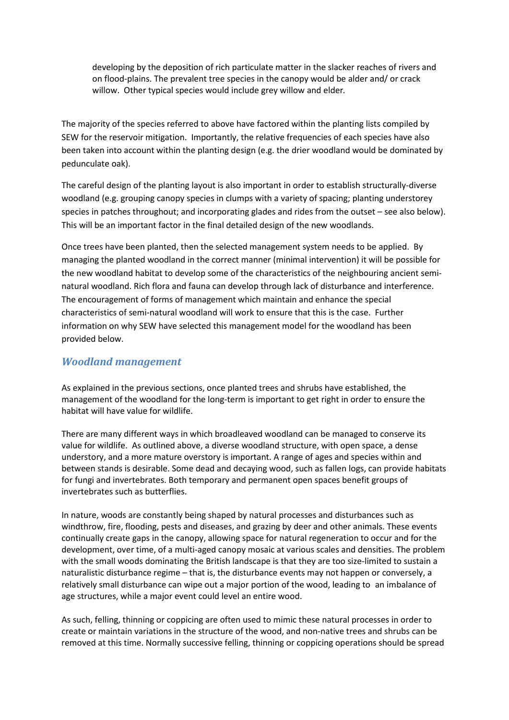developing by the deposition of rich particulate matter in the slacker reaches of rivers and on flood-plains. The prevalent tree species in the canopy would be alder and/ or crack willow. Other typical species would include grey willow and elder*.*

The majority of the species referred to above have factored within the planting lists compiled by SEW for the reservoir mitigation. Importantly, the relative frequencies of each species have also been taken into account within the planting design (e.g. the drier woodland would be dominated by pedunculate oak).

The careful design of the planting layout is also important in order to establish structurally-diverse woodland (e.g. grouping canopy species in clumps with a variety of spacing; planting understorey species in patches throughout; and incorporating glades and rides from the outset – see also below). This will be an important factor in the final detailed design of the new woodlands.

Once trees have been planted, then the selected management system needs to be applied. By managing the planted woodland in the correct manner (minimal intervention) it will be possible for the new woodland habitat to develop some of the characteristics of the neighbouring ancient seminatural woodland. Rich flora and fauna can develop through lack of disturbance and interference. The encouragement of forms of management which maintain and enhance the special characteristics of semi-natural woodland will work to ensure that this is the case. Further information on why SEW have selected this management model for the woodland has been provided below.

## *Woodland management*

As explained in the previous sections, once planted trees and shrubs have established, the management of the woodland for the long-term is important to get right in order to ensure the habitat will have value for wildlife.

There are many different ways in which broadleaved woodland can be managed to conserve its value for wildlife. As outlined above, a diverse woodland structure, with open space, a dense understory, and a more mature overstory is important. A range of ages and species within and between stands is desirable. Some dead and decaying wood, such as fallen logs, can provide habitats for fungi and invertebrates. Both temporary and permanent open spaces benefit groups of invertebrates such as butterflies.

In nature, woods are constantly being shaped by natural processes and disturbances such as windthrow, fire, flooding, pests and diseases, and grazing by deer and other animals. These events continually create gaps in the canopy, allowing space for natural regeneration to occur and for the development, over time, of a multi-aged canopy mosaic at various scales and densities. The problem with the small woods dominating the British landscape is that they are too size-limited to sustain a naturalistic disturbance regime – that is, the disturbance events may not happen or conversely, a relatively small disturbance can wipe out a major portion of the wood, leading to an imbalance of age structures, while a major event could level an entire wood.

As such, felling, thinning or coppicing are often used to mimic these natural processes in order to create or maintain variations in the structure of the wood, and non-native trees and shrubs can be removed at this time. Normally successive felling, thinning or coppicing operations should be spread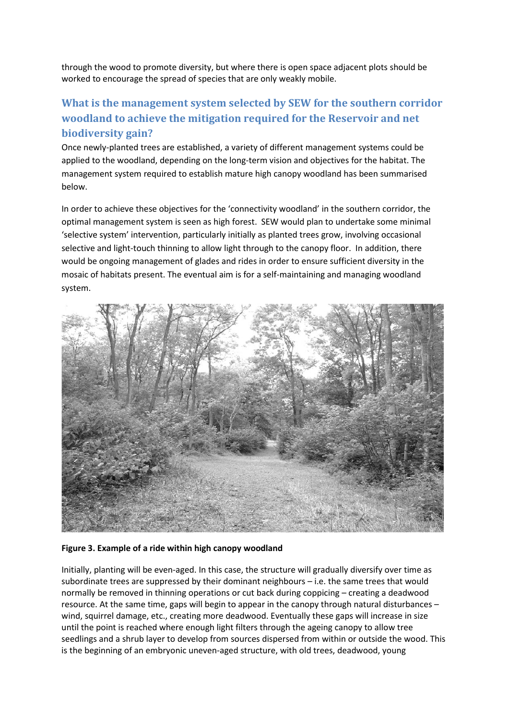through the wood to promote diversity, but where there is open space adjacent plots should be worked to encourage the spread of species that are only weakly mobile.

# **What is the management system selected by SEW for the southern corridor woodland to achieve the mitigation required for the Reservoir and net biodiversity gain?**

Once newly-planted trees are established, a variety of different management systems could be applied to the woodland, depending on the long-term vision and objectives for the habitat. The management system required to establish mature high canopy woodland has been summarised below.

In order to achieve these objectives for the 'connectivity woodland' in the southern corridor, the optimal management system is seen as high forest. SEW would plan to undertake some minimal 'selective system' intervention, particularly initially as planted trees grow, involving occasional selective and light-touch thinning to allow light through to the canopy floor. In addition, there would be ongoing management of glades and rides in order to ensure sufficient diversity in the mosaic of habitats present. The eventual aim is for a self-maintaining and managing woodland system.



### **Figure 3. Example of a ride within high canopy woodland**

Initially, planting will be even-aged. In this case, the structure will gradually diversify over time as subordinate trees are suppressed by their dominant neighbours – i.e. the same trees that would normally be removed in thinning operations or cut back during coppicing – creating a deadwood resource. At the same time, gaps will begin to appear in the canopy through natural disturbances – wind, squirrel damage, etc., creating more deadwood. Eventually these gaps will increase in size until the point is reached where enough light filters through the ageing canopy to allow tree seedlings and a shrub layer to develop from sources dispersed from within or outside the wood. This is the beginning of an embryonic uneven-aged structure, with old trees, deadwood, young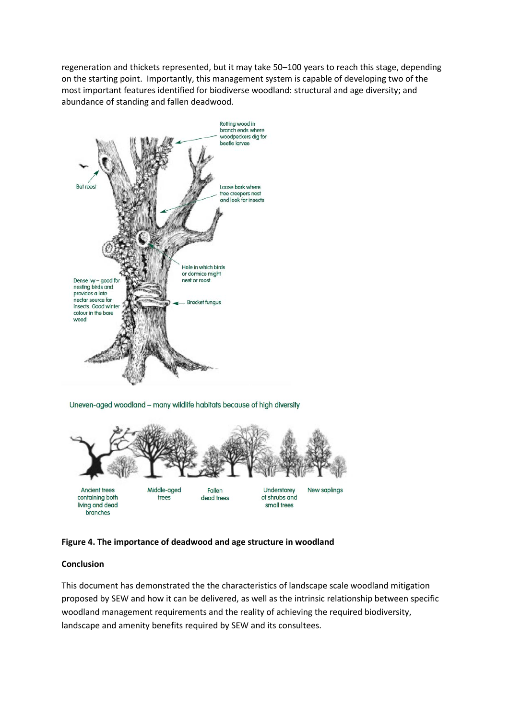regeneration and thickets represented, but it may take 50–100 years to reach this stage, depending on the starting point. Importantly, this management system is capable of developing two of the most important features identified for biodiverse woodland: structural and age diversity; and abundance of standing and fallen deadwood.



Uneven-aged woodland - many wildlife habitats because of high diversity



### **Figure 4. The importance of deadwood and age structure in woodland**

### **Conclusion**

This document has demonstrated the the characteristics of landscape scale woodland mitigation proposed by SEW and how it can be delivered, as well as the intrinsic relationship between specific woodland management requirements and the reality of achieving the required biodiversity, landscape and amenity benefits required by SEW and its consultees.